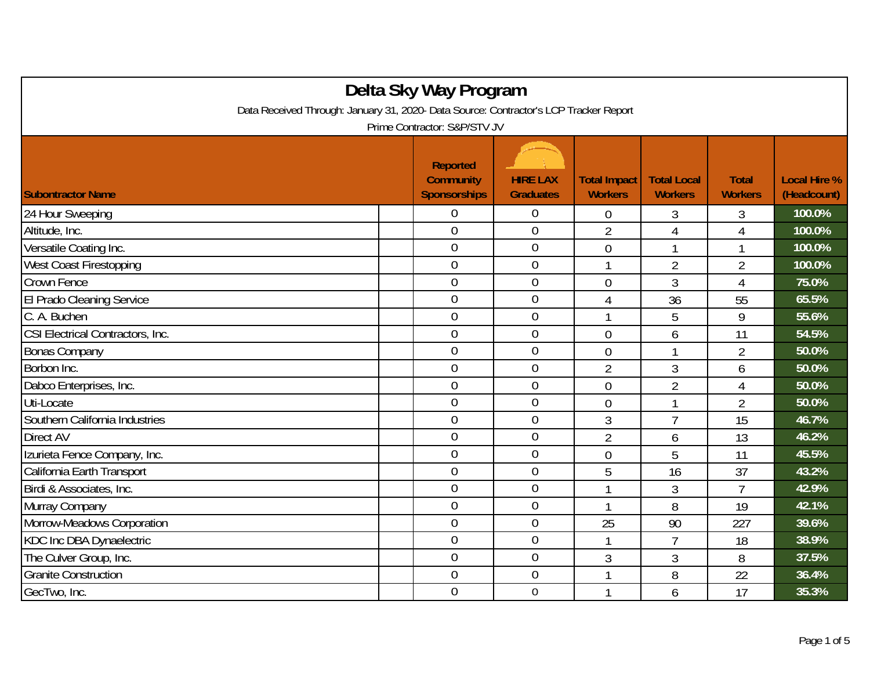| Delta Sky Way Program                                                                 |  |                                                            |                                     |                                       |                                      |                                |                                    |  |
|---------------------------------------------------------------------------------------|--|------------------------------------------------------------|-------------------------------------|---------------------------------------|--------------------------------------|--------------------------------|------------------------------------|--|
| Data Received Through: January 31, 2020- Data Source: Contractor's LCP Tracker Report |  |                                                            |                                     |                                       |                                      |                                |                                    |  |
| Prime Contractor: S&P/STV JV                                                          |  |                                                            |                                     |                                       |                                      |                                |                                    |  |
| <b>Subontractor Name</b>                                                              |  | <b>Reported</b><br><b>Community</b><br><b>Sponsorships</b> | <b>HIRE LAX</b><br><b>Graduates</b> | <b>Total Impact</b><br><b>Workers</b> | <b>Total Local</b><br><b>Workers</b> | <b>Total</b><br><b>Workers</b> | <b>Local Hire %</b><br>(Headcount) |  |
| 24 Hour Sweeping                                                                      |  | 0                                                          | $\overline{0}$                      | $\overline{0}$                        | 3                                    | 3                              | 100.0%                             |  |
| Altitude, Inc.                                                                        |  | $\overline{0}$                                             | $\mathbf 0$                         | $\overline{2}$                        | 4                                    | 4                              | 100.0%                             |  |
| Versatile Coating Inc.                                                                |  | $\overline{0}$                                             | $\boldsymbol{0}$                    | $\mathbf 0$                           | 1                                    |                                | 100.0%                             |  |
| <b>West Coast Firestopping</b>                                                        |  | $\overline{0}$                                             | $\overline{0}$                      | 1                                     | $\overline{2}$                       | $\overline{2}$                 | 100.0%                             |  |
| Crown Fence                                                                           |  | $\overline{0}$                                             | $\mathbf 0$                         | $\overline{0}$                        | 3                                    | $\overline{4}$                 | 75.0%                              |  |
| El Prado Cleaning Service                                                             |  | $\overline{0}$                                             | $\boldsymbol{0}$                    | 4                                     | 36                                   | 55                             | 65.5%                              |  |
| C. A. Buchen                                                                          |  | $\overline{0}$                                             | $\mathbf 0$                         |                                       | 5                                    | 9                              | 55.6%                              |  |
| CSI Electrical Contractors, Inc.                                                      |  | $\overline{0}$                                             | $\overline{0}$                      | $\overline{0}$                        | 6                                    | 11                             | 54.5%                              |  |
| <b>Bonas Company</b>                                                                  |  | $\overline{0}$                                             | $\boldsymbol{0}$                    | $\overline{0}$                        | 1                                    | $\overline{2}$                 | 50.0%                              |  |
| Borbon Inc.                                                                           |  | $\overline{0}$                                             | $\boldsymbol{0}$                    | $\overline{2}$                        | 3                                    | 6                              | 50.0%                              |  |
| Dabco Enterprises, Inc.                                                               |  | $\boldsymbol{0}$                                           | $\boldsymbol{0}$                    | $\mathbf 0$                           | $\overline{2}$                       | 4                              | 50.0%                              |  |
| Uti-Locate                                                                            |  | $\overline{0}$                                             | $\mathbf 0$                         | $\mathbf 0$                           | 1                                    | $\overline{2}$                 | 50.0%                              |  |
| Southern California Industries                                                        |  | $\overline{0}$                                             | $\overline{0}$                      | 3                                     | $\overline{7}$                       | 15                             | 46.7%                              |  |
| Direct AV                                                                             |  | $\mathbf 0$                                                | $\mathbf 0$                         | $\overline{2}$                        | 6                                    | 13                             | 46.2%                              |  |
| Izurieta Fence Company, Inc.                                                          |  | $\overline{0}$                                             | $\overline{0}$                      | $\overline{0}$                        | 5                                    | 11                             | 45.5%                              |  |
| California Earth Transport                                                            |  | $\overline{0}$                                             | $\boldsymbol{0}$                    | 5                                     | 16                                   | 37                             | 43.2%                              |  |
| Birdi & Associates, Inc.                                                              |  | $\overline{0}$                                             | $\mathbf 0$                         | $\overline{1}$                        | $\overline{3}$                       | $\overline{7}$                 | 42.9%                              |  |
| Murray Company                                                                        |  | 0                                                          | $\boldsymbol{0}$                    | 1                                     | 8                                    | 19                             | 42.1%                              |  |
| Morrow-Meadows Corporation                                                            |  | $\mathbf 0$                                                | $\boldsymbol{0}$                    | 25                                    | 90                                   | 227                            | 39.6%                              |  |
| KDC Inc DBA Dynaelectric                                                              |  | $\boldsymbol{0}$                                           | $\boldsymbol{0}$                    | $\overline{1}$                        | $\overline{7}$                       | 18                             | 38.9%                              |  |
| The Culver Group, Inc.                                                                |  | $\mathbf 0$                                                | $\mathbf 0$                         | 3                                     | 3                                    | 8                              | 37.5%                              |  |
| <b>Granite Construction</b>                                                           |  | $\overline{0}$                                             | $\overline{0}$                      | 1                                     | 8                                    | 22                             | 36.4%                              |  |
| GecTwo, Inc.                                                                          |  | $\overline{0}$                                             | $\mathbf 0$                         |                                       | 6                                    | 17                             | 35.3%                              |  |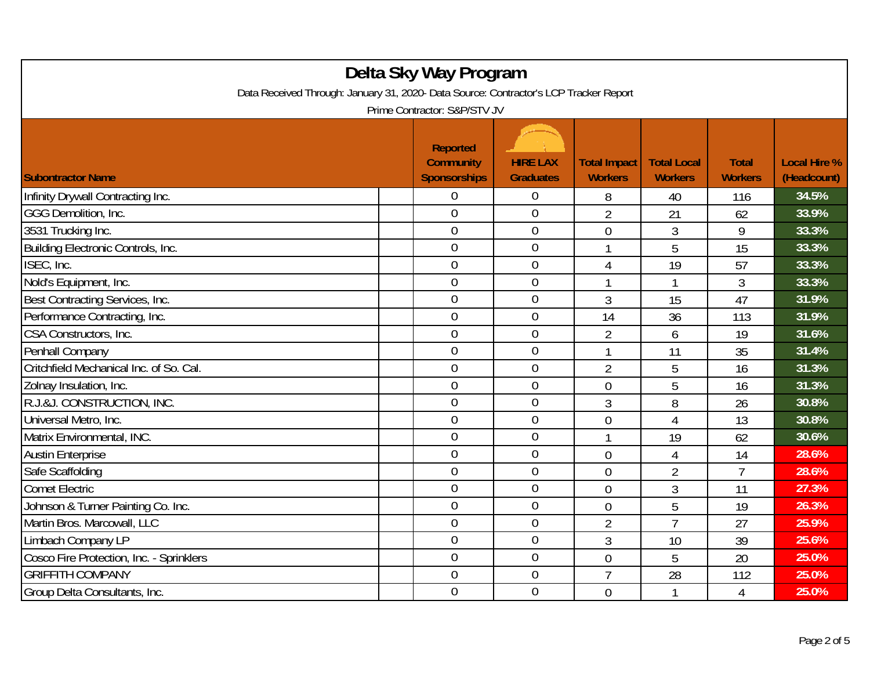| Delta Sky Way Program                                                                                                 |  |                                                            |                                     |                                       |                                      |                                |                                    |  |
|-----------------------------------------------------------------------------------------------------------------------|--|------------------------------------------------------------|-------------------------------------|---------------------------------------|--------------------------------------|--------------------------------|------------------------------------|--|
| Data Received Through: January 31, 2020- Data Source: Contractor's LCP Tracker Report<br>Prime Contractor: S&P/STV JV |  |                                                            |                                     |                                       |                                      |                                |                                    |  |
| <b>Subontractor Name</b>                                                                                              |  | <b>Reported</b><br><b>Community</b><br><b>Sponsorships</b> | <b>HIRE LAX</b><br><b>Graduates</b> | <b>Total Impact</b><br><b>Workers</b> | <b>Total Local</b><br><b>Workers</b> | <b>Total</b><br><b>Workers</b> | <b>Local Hire %</b><br>(Headcount) |  |
| Infinity Drywall Contracting Inc.                                                                                     |  | 0                                                          | $\theta$                            | 8                                     | 40                                   | 116                            | 34.5%                              |  |
| GGG Demolition, Inc.                                                                                                  |  | $\overline{0}$                                             | $\overline{0}$                      | $\overline{2}$                        | 21                                   | 62                             | 33.9%                              |  |
| 3531 Trucking Inc.                                                                                                    |  | $\overline{0}$                                             | $\boldsymbol{0}$                    | $\overline{0}$                        | 3                                    | 9                              | 33.3%                              |  |
| Building Electronic Controls, Inc.                                                                                    |  | $\mathbf 0$                                                | $\boldsymbol{0}$                    | 1                                     | 5                                    | 15                             | 33.3%                              |  |
| ISEC, Inc.                                                                                                            |  | $\overline{0}$                                             | $\mathbf 0$                         | 4                                     | 19                                   | 57                             | 33.3%                              |  |
| Nold's Equipment, Inc.                                                                                                |  | $\overline{0}$                                             | $\mathbf 0$                         |                                       |                                      | 3                              | 33.3%                              |  |
| Best Contracting Services, Inc.                                                                                       |  | $\overline{0}$                                             | $\mathbf{0}$                        | 3                                     | 15                                   | 47                             | 31.9%                              |  |
| Performance Contracting, Inc.                                                                                         |  | $\overline{0}$                                             | $\mathbf 0$                         | 14                                    | 36                                   | 113                            | 31.9%                              |  |
| CSA Constructors, Inc.                                                                                                |  | $\overline{0}$                                             | $\boldsymbol{0}$                    | $\overline{2}$                        | 6                                    | 19                             | 31.6%                              |  |
| Penhall Company                                                                                                       |  | $\overline{0}$                                             | $\mathbf 0$                         | 1                                     | 11                                   | 35                             | 31.4%                              |  |
| Critchfield Mechanical Inc. of So. Cal                                                                                |  | $\overline{0}$                                             | $\mathbf 0$                         | $\overline{2}$                        | 5                                    | 16                             | 31.3%                              |  |
| Zolnay Insulation, Inc.                                                                                               |  | 0                                                          | $\theta$                            | $\overline{0}$                        | 5                                    | 16                             | 31.3%                              |  |
| R.J.&J. CONSTRUCTION, INC.                                                                                            |  | $\overline{0}$                                             | $\mathbf 0$                         | 3                                     | 8                                    | 26                             | 30.8%                              |  |
| Universal Metro, Inc.                                                                                                 |  | $\overline{0}$                                             | $\mathbf 0$                         | 0                                     | 4                                    | 13                             | 30.8%                              |  |
| Matrix Environmental, INC.                                                                                            |  | $\overline{0}$                                             | $\boldsymbol{0}$                    | 1                                     | 19                                   | 62                             | 30.6%                              |  |
| <b>Austin Enterprise</b>                                                                                              |  | $\overline{0}$                                             | $\mathbf 0$                         | $\overline{0}$                        | 4                                    | 14                             | 28.6%                              |  |
| Safe Scaffolding                                                                                                      |  | 0                                                          | $\boldsymbol{0}$                    | $\overline{0}$                        | $\overline{2}$                       | 7                              | 28.6%                              |  |
| <b>Comet Electric</b>                                                                                                 |  | $\overline{0}$                                             | $\mathbf 0$                         | $\overline{0}$                        | $\overline{3}$                       | 11                             | 27.3%                              |  |
| Johnson & Turner Painting Co. Inc.                                                                                    |  | $\overline{0}$                                             | $\overline{0}$                      | $\overline{0}$                        | 5                                    | 19                             | 26.3%                              |  |
| Martin Bros. Marcowall, LLC                                                                                           |  | $\overline{0}$                                             | $\boldsymbol{0}$                    | $\overline{2}$                        | $\overline{7}$                       | 27                             | 25.9%                              |  |
| Limbach Company LP                                                                                                    |  | $\mathbf 0$                                                | $\boldsymbol{0}$                    | 3                                     | 10                                   | 39                             | 25.6%                              |  |
| Cosco Fire Protection, Inc. - Sprinklers                                                                              |  | $\overline{0}$                                             | $\mathbf 0$                         | $\overline{0}$                        | 5                                    | 20                             | 25.0%                              |  |
| <b>GRIFFITH COMPANY</b>                                                                                               |  | $\overline{0}$                                             | $\boldsymbol{0}$                    | $\overline{7}$                        | 28                                   | 112                            | 25.0%                              |  |
| Group Delta Consultants, Inc.                                                                                         |  | $\mathbf 0$                                                | $\boldsymbol{0}$                    | $\overline{0}$                        | 1                                    | 4                              | 25.0%                              |  |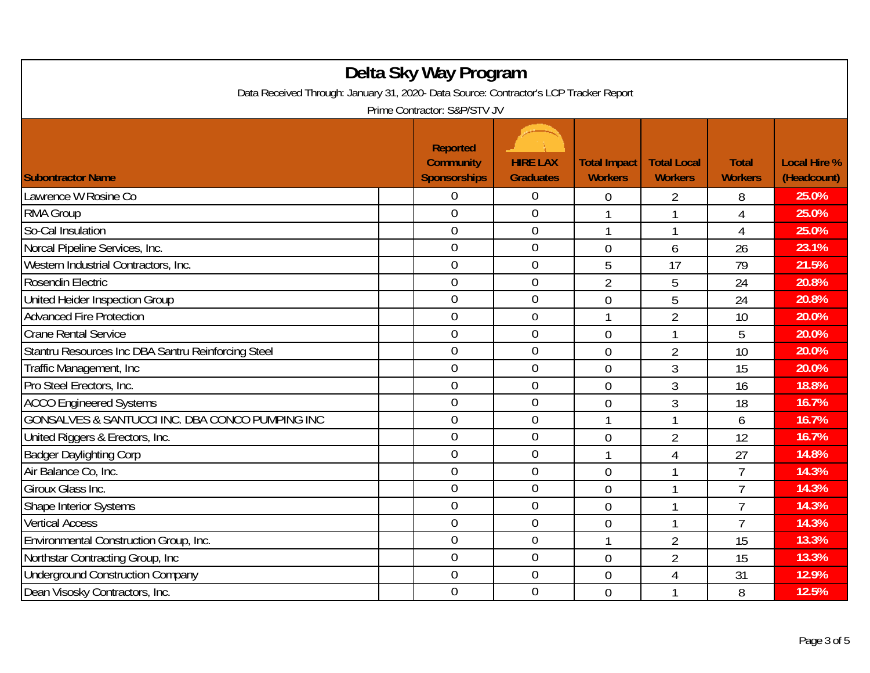| Delta Sky Way Program<br>Data Received Through: January 31, 2020- Data Source: Contractor's LCP Tracker Report<br>Prime Contractor: S&P/STV JV |                                                            |                                     |                                       |                                      |                                |                                    |  |  |
|------------------------------------------------------------------------------------------------------------------------------------------------|------------------------------------------------------------|-------------------------------------|---------------------------------------|--------------------------------------|--------------------------------|------------------------------------|--|--|
| <b>Subontractor Name</b>                                                                                                                       | <b>Reported</b><br><b>Community</b><br><b>Sponsorships</b> | <b>HIRE LAX</b><br><b>Graduates</b> | <b>Total Impact</b><br><b>Workers</b> | <b>Total Local</b><br><b>Workers</b> | <b>Total</b><br><b>Workers</b> | <b>Local Hire %</b><br>(Headcount) |  |  |
| Lawrence W Rosine Co                                                                                                                           | 0                                                          | $\boldsymbol{0}$                    | $\boldsymbol{0}$                      | 2                                    | 8                              | 25.0%                              |  |  |
| <b>RMA Group</b>                                                                                                                               | $\overline{0}$                                             | $\overline{0}$                      | 1                                     | 1                                    | $\overline{4}$                 | 25.0%                              |  |  |
| So-Cal Insulation                                                                                                                              | $\overline{0}$                                             | $\boldsymbol{0}$                    | 1                                     | 1                                    | $\overline{4}$                 | 25.0%                              |  |  |
| Norcal Pipeline Services, Inc.                                                                                                                 | $\overline{0}$                                             | $\mathbf 0$                         | $\overline{0}$                        | 6                                    | 26                             | 23.1%                              |  |  |
| Western Industrial Contractors, Inc.                                                                                                           | $\overline{0}$                                             | $\overline{0}$                      | 5                                     | 17                                   | 79                             | 21.5%                              |  |  |
| Rosendin Electric                                                                                                                              | $\overline{0}$                                             | $\mathbf{0}$                        | $\overline{2}$                        | 5                                    | 24                             | 20.8%                              |  |  |
| United Heider Inspection Group                                                                                                                 | $\overline{0}$                                             | $\overline{0}$                      | 0                                     | 5                                    | 24                             | 20.8%                              |  |  |
| <b>Advanced Fire Protection</b>                                                                                                                | $\overline{0}$                                             | $\mathbf 0$                         | 1                                     | $\overline{2}$                       | 10                             | 20.0%                              |  |  |
| <b>Crane Rental Service</b>                                                                                                                    | $\overline{0}$                                             | $\boldsymbol{0}$                    | 0                                     | 1                                    | 5                              | 20.0%                              |  |  |
| Stantru Resources Inc DBA Santru Reinforcing Steel                                                                                             | $\mathbf 0$                                                | $\mathbf 0$                         | $\overline{0}$                        | 2                                    | 10                             | 20.0%                              |  |  |
| Traffic Management, Inc.                                                                                                                       | $\overline{0}$                                             | $\overline{0}$                      | $\overline{0}$                        | 3                                    | 15                             | 20.0%                              |  |  |
| Pro Steel Erectors, Inc.                                                                                                                       | $\overline{0}$                                             | $\overline{0}$                      | 0                                     | 3                                    | 16                             | 18.8%                              |  |  |
| <b>ACCO Engineered Systems</b>                                                                                                                 | $\overline{0}$                                             | $\theta$                            | $\overline{0}$                        | 3                                    | 18                             | 16.7%                              |  |  |
| GONSALVES & SANTUCCI INC. DBA CONCO PUMPING INC                                                                                                | $\overline{0}$                                             | $\mathbf 0$                         | 1                                     | 1                                    | 6                              | 16.7%                              |  |  |
| United Riggers & Erectors, Inc.                                                                                                                | $\overline{0}$                                             | $\mathbf 0$                         | 0                                     | $\overline{2}$                       | 12                             | 16.7%                              |  |  |
| <b>Badger Daylighting Corp</b>                                                                                                                 | $\overline{0}$                                             | $\mathbf{0}$                        | 1                                     | $\overline{4}$                       | 27                             | 14.8%                              |  |  |
| Air Balance Co. Inc.                                                                                                                           | $\overline{0}$                                             | $\overline{0}$                      | $\overline{0}$                        | 1                                    | $\overline{7}$                 | 14.3%                              |  |  |
| Giroux Glass Inc.                                                                                                                              | 0                                                          | $\boldsymbol{0}$                    | $\overline{0}$                        | 1                                    | $\overline{7}$                 | 14.3%                              |  |  |
| Shape Interior Systems                                                                                                                         | $\overline{0}$                                             | $\mathbf 0$                         | $\overline{0}$                        | 1                                    | $\overline{7}$                 | 14.3%                              |  |  |
| <b>Vertical Access</b>                                                                                                                         | $\overline{0}$                                             | $\mathbf 0$                         | $\overline{0}$                        |                                      | 7                              | 14.3%                              |  |  |
| Environmental Construction Group, Inc.                                                                                                         | $\overline{0}$                                             | $\mathbf 0$                         | 1                                     | $\overline{2}$                       | 15                             | 13.3%                              |  |  |
| Northstar Contracting Group, Inc.                                                                                                              | $\overline{0}$                                             | $\overline{0}$                      | 0                                     | $\overline{2}$                       | 15                             | 13.3%                              |  |  |
| <b>Underground Construction Company</b>                                                                                                        | $\boldsymbol{0}$                                           | $\mathbf 0$                         | 0                                     | 4                                    | 31                             | 12.9%                              |  |  |
| Dean Visosky Contractors, Inc.                                                                                                                 | $\overline{0}$                                             | $\mathbf 0$                         | $\overline{0}$                        |                                      | 8                              | 12.5%                              |  |  |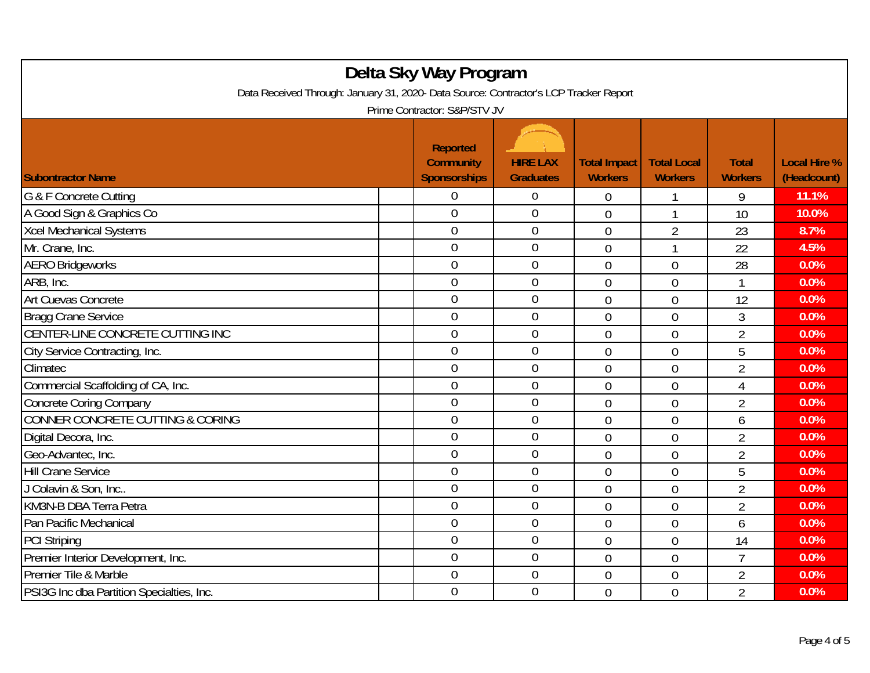| Delta Sky Way Program<br>Data Received Through: January 31, 2020- Data Source: Contractor's LCP Tracker Report<br>Prime Contractor: S&P/STV JV |  |                                                            |                                     |                                       |                                      |                                |                                    |  |
|------------------------------------------------------------------------------------------------------------------------------------------------|--|------------------------------------------------------------|-------------------------------------|---------------------------------------|--------------------------------------|--------------------------------|------------------------------------|--|
| <b>Subontractor Name</b>                                                                                                                       |  | <b>Reported</b><br><b>Community</b><br><b>Sponsorships</b> | <b>HIRE LAX</b><br><b>Graduates</b> | <b>Total Impact</b><br><b>Workers</b> | <b>Total Local</b><br><b>Workers</b> | <b>Total</b><br><b>Workers</b> | <b>Local Hire %</b><br>(Headcount) |  |
| G & F Concrete Cutting                                                                                                                         |  | 0                                                          | $\overline{0}$                      | 0                                     | 1                                    | 9                              | 11.1%                              |  |
| A Good Sign & Graphics Co                                                                                                                      |  | $\overline{0}$                                             | $\overline{0}$                      | $\overline{0}$                        | 1                                    | 10                             | 10.0%                              |  |
| <b>Xcel Mechanical Systems</b>                                                                                                                 |  | $\overline{0}$                                             | $\boldsymbol{0}$                    | $\overline{0}$                        | $\overline{2}$                       | 23                             | 8.7%                               |  |
| Mr. Crane, Inc.                                                                                                                                |  | $\overline{0}$                                             | $\mathbf 0$                         | $\overline{0}$                        | 1                                    | 22                             | 4.5%                               |  |
| <b>AERO Bridgeworks</b>                                                                                                                        |  | $\overline{0}$                                             | $\overline{0}$                      | $\overline{0}$                        | $\overline{0}$                       | 28                             | 0.0%                               |  |
| ARB, Inc.                                                                                                                                      |  | $\overline{0}$                                             | $\boldsymbol{0}$                    | $\overline{0}$                        | $\overline{0}$                       |                                | 0.0%                               |  |
| Art Cuevas Concrete                                                                                                                            |  | $\mathbf 0$                                                | $\mathbf 0$                         | $\overline{0}$                        | 0                                    | 12                             | 0.0%                               |  |
| <b>Bragg Crane Service</b>                                                                                                                     |  | $\overline{0}$                                             | $\mathbf 0$                         | $\overline{0}$                        | $\overline{0}$                       | $\overline{3}$                 | 0.0%                               |  |
| CENTER-LINE CONCRETE CUTTING INC                                                                                                               |  | $\boldsymbol{0}$                                           | $\boldsymbol{0}$                    | $\overline{0}$                        | 0                                    | $\overline{2}$                 | 0.0%                               |  |
| City Service Contracting, Inc.                                                                                                                 |  | $\mathbf 0$                                                | $\mathbf 0$                         | $\overline{0}$                        | $\overline{0}$                       | 5                              | 0.0%                               |  |
| Climatec                                                                                                                                       |  | $\overline{0}$                                             | $\mathbf 0$                         | $\overline{0}$                        | $\overline{0}$                       | $\overline{2}$                 | 0.0%                               |  |
| Commercial Scaffolding of CA, Inc.                                                                                                             |  | $\overline{0}$                                             | $\mathbf 0$                         | $\overline{0}$                        | 0                                    | 4                              | 0.0%                               |  |
| Concrete Coring Company                                                                                                                        |  | $\overline{0}$                                             | $\mathbf 0$                         | $\overline{0}$                        | $\overline{0}$                       | $\overline{2}$                 | 0.0%                               |  |
| CONNER CONCRETE CUTTING & CORING                                                                                                               |  | $\overline{0}$                                             | $\boldsymbol{0}$                    | $\overline{0}$                        | 0                                    | 6                              | 0.0%                               |  |
| Digital Decora, Inc.                                                                                                                           |  | $\mathbf 0$                                                | $\boldsymbol{0}$                    | $\overline{0}$                        | $\overline{0}$                       | $\overline{2}$                 | 0.0%                               |  |
| Geo-Advantec, Inc.                                                                                                                             |  | $\overline{0}$                                             | $\mathbf 0$                         | $\overline{0}$                        | $\overline{0}$                       | $\overline{2}$                 | 0.0%                               |  |
| <b>Hill Crane Service</b>                                                                                                                      |  | $\mathbf 0$                                                | $\mathbf 0$                         | $\overline{0}$                        | 0                                    | 5                              | 0.0%                               |  |
| J Colavin & Son, Inc                                                                                                                           |  | $\overline{0}$                                             | $\mathbf 0$                         | $\overline{0}$                        | 0                                    | $\overline{2}$                 | 0.0%                               |  |
| KM3N-B DBA Terra Petra                                                                                                                         |  | $\overline{0}$                                             | $\overline{0}$                      | $\overline{0}$                        | 0                                    | $\overline{2}$                 | 0.0%                               |  |
| Pan Pacific Mechanical                                                                                                                         |  | $\boldsymbol{0}$                                           | $\boldsymbol{0}$                    | $\overline{0}$                        | 0                                    | 6                              | 0.0%                               |  |
| <b>PCI Striping</b>                                                                                                                            |  | $\mathbf 0$                                                | $\boldsymbol{0}$                    | $\mathbf 0$                           | 0                                    | 14                             | 0.0%                               |  |
| Premier Interior Development, Inc.                                                                                                             |  | $\overline{0}$                                             | $\mathbf 0$                         | $\overline{0}$                        | $\overline{0}$                       | $\overline{7}$                 | 0.0%                               |  |
| Premier Tile & Marble                                                                                                                          |  | $\boldsymbol{0}$                                           | $\boldsymbol{0}$                    | $\overline{0}$                        | 0                                    | $\overline{2}$                 | 0.0%                               |  |
| PSI3G Inc dba Partition Specialties, Inc.                                                                                                      |  | $\overline{0}$                                             | $\overline{0}$                      | $\overline{0}$                        | 0                                    | $\overline{2}$                 | 0.0%                               |  |